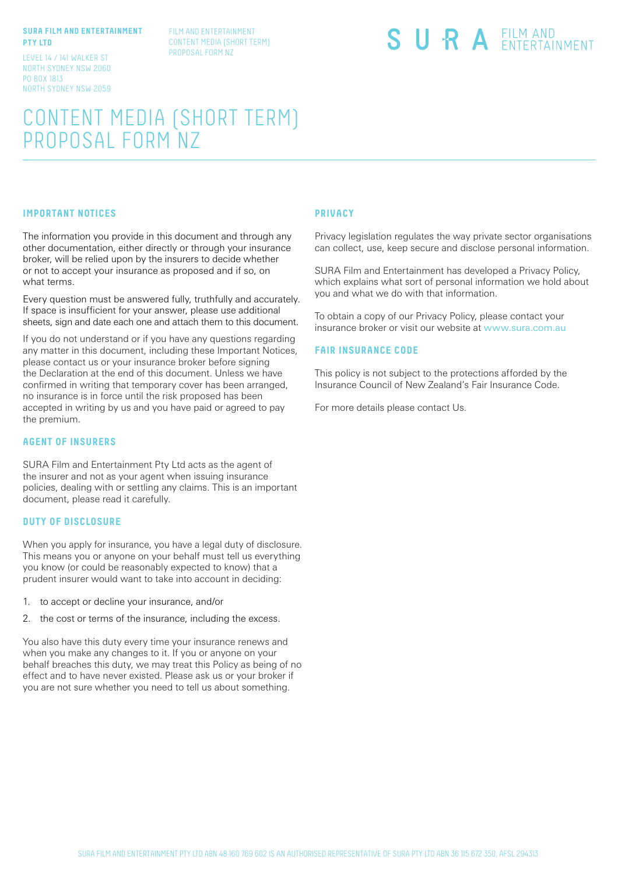#### **SURA FILM AND ENTERTAINMENT PTY LTD**

LEVEL 14 / 141 WALKER ST NORTH SYDNEY NSW 2060 PO BOX 1813 NORTH SYDNEY NSW 2059 FILM AND ENTERTAINMENT CONTENT MEDIA (SHORT TERM) PROPOSAL FORM NZ

# SURA EILM AND

# CONTENT MEDIA (SHORT TERM) PROPOSAL FORM NZ

## **IMPORTANT NOTICES**

The information you provide in this document and through any other documentation, either directly or through your insurance broker, will be relied upon by the insurers to decide whether or not to accept your insurance as proposed and if so, on what terms.

Every question must be answered fully, truthfully and accurately. If space is insufficient for your answer, please use additional sheets, sign and date each one and attach them to this document.

If you do not understand or if you have any questions regarding any matter in this document, including these Important Notices, please contact us or your insurance broker before signing the Declaration at the end of this document. Unless we have confirmed in writing that temporary cover has been arranged, no insurance is in force until the risk proposed has been accepted in writing by us and you have paid or agreed to pay the premium.

#### **AGENT OF INSURERS**

SURA Film and Entertainment Pty Ltd acts as the agent of the insurer and not as your agent when issuing insurance policies, dealing with or settling any claims. This is an important document, please read it carefully.

#### **DUTY OF DISCLOSURE**

When you apply for insurance, you have a legal duty of disclosure. This means you or anyone on your behalf must tell us everything you know (or could be reasonably expected to know) that a prudent insurer would want to take into account in deciding:

- 1. to accept or decline your insurance, and/or
- 2. the cost or terms of the insurance, including the excess.

You also have this duty every time your insurance renews and when you make any changes to it. If you or anyone on your behalf breaches this duty, we may treat this Policy as being of no effect and to have never existed. Please ask us or your broker if you are not sure whether you need to tell us about something.

#### **PRIVACY**

Privacy legislation regulates the way private sector organisations can collect, use, keep secure and disclose personal information.

SURA Film and Entertainment has developed a Privacy Policy, which explains what sort of personal information we hold about you and what we do with that information.

To obtain a copy of our Privacy Policy, please contact your insurance broker or visit our website at www.sura.com.au

#### **FAIR INSURANCE CODE**

This policy is not subject to the protections afforded by the Insurance Council of New Zealand's Fair Insurance Code.

For more details please contact Us.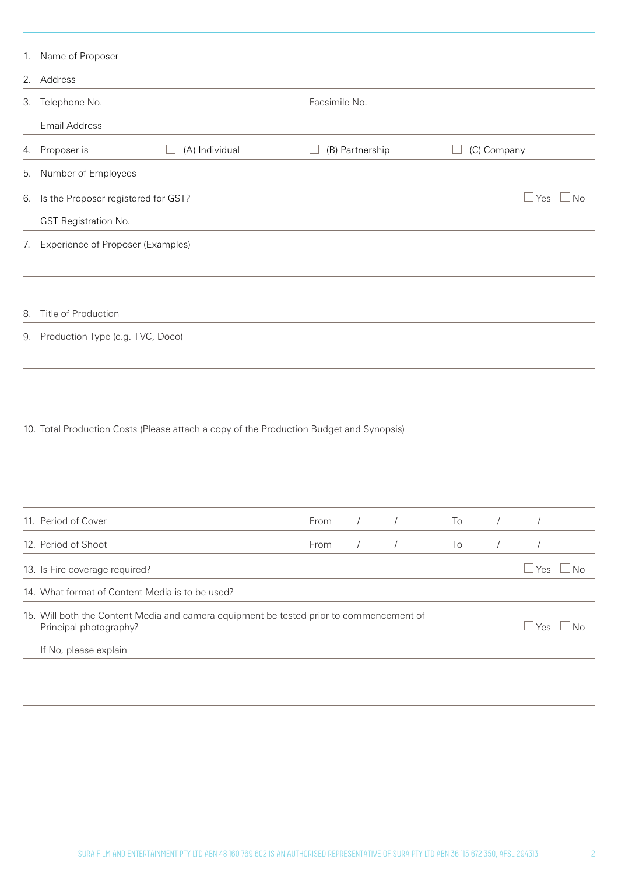| 1. | Name of Proposer                                |                                                                                         |               |                 |            |    |             |              |              |
|----|-------------------------------------------------|-----------------------------------------------------------------------------------------|---------------|-----------------|------------|----|-------------|--------------|--------------|
|    | 2. Address                                      |                                                                                         |               |                 |            |    |             |              |              |
| 3. | Telephone No.                                   |                                                                                         | Facsimile No. |                 |            |    |             |              |              |
|    | Email Address                                   |                                                                                         |               |                 |            |    |             |              |              |
|    | 4. Proposer is                                  | (A) Individual                                                                          |               | (B) Partnership |            |    | (C) Company |              |              |
| 5. | Number of Employees                             |                                                                                         |               |                 |            |    |             |              |              |
| 6. | Is the Proposer registered for GST?             |                                                                                         |               |                 |            |    |             | $\sqcup$ Yes | $\Box$ No    |
|    | GST Registration No.                            |                                                                                         |               |                 |            |    |             |              |              |
| 7. | Experience of Proposer (Examples)               |                                                                                         |               |                 |            |    |             |              |              |
|    |                                                 |                                                                                         |               |                 |            |    |             |              |              |
|    |                                                 |                                                                                         |               |                 |            |    |             |              |              |
| 8. | Title of Production                             |                                                                                         |               |                 |            |    |             |              |              |
|    | 9. Production Type (e.g. TVC, Doco)             |                                                                                         |               |                 |            |    |             |              |              |
|    |                                                 |                                                                                         |               |                 |            |    |             |              |              |
|    |                                                 |                                                                                         |               |                 |            |    |             |              |              |
|    |                                                 |                                                                                         |               |                 |            |    |             |              |              |
|    |                                                 | 10. Total Production Costs (Please attach a copy of the Production Budget and Synopsis) |               |                 |            |    |             |              |              |
|    |                                                 |                                                                                         |               |                 |            |    |             |              |              |
|    |                                                 |                                                                                         |               |                 |            |    |             |              |              |
|    |                                                 |                                                                                         |               |                 |            |    |             |              |              |
|    | 11. Period of Cover                             |                                                                                         | From          | $\sqrt{2}$      | $\sqrt{2}$ | To | $\sqrt{2}$  | $\sqrt{2}$   |              |
|    | 12. Period of Shoot                             |                                                                                         | From          | $\sqrt{2}$      | $\sqrt{2}$ | To | $\sqrt{2}$  | $\sqrt{2}$   |              |
|    | 13. Is Fire coverage required?                  |                                                                                         |               |                 |            |    |             | Yes          | $\exists$ No |
|    | 14. What format of Content Media is to be used? |                                                                                         |               |                 |            |    |             |              |              |
|    | Principal photography?                          | 15. Will both the Content Media and camera equipment be tested prior to commencement of |               |                 |            |    |             | Yes          | $\exists$ No |
|    | If No, please explain                           |                                                                                         |               |                 |            |    |             |              |              |
|    |                                                 |                                                                                         |               |                 |            |    |             |              |              |
|    |                                                 |                                                                                         |               |                 |            |    |             |              |              |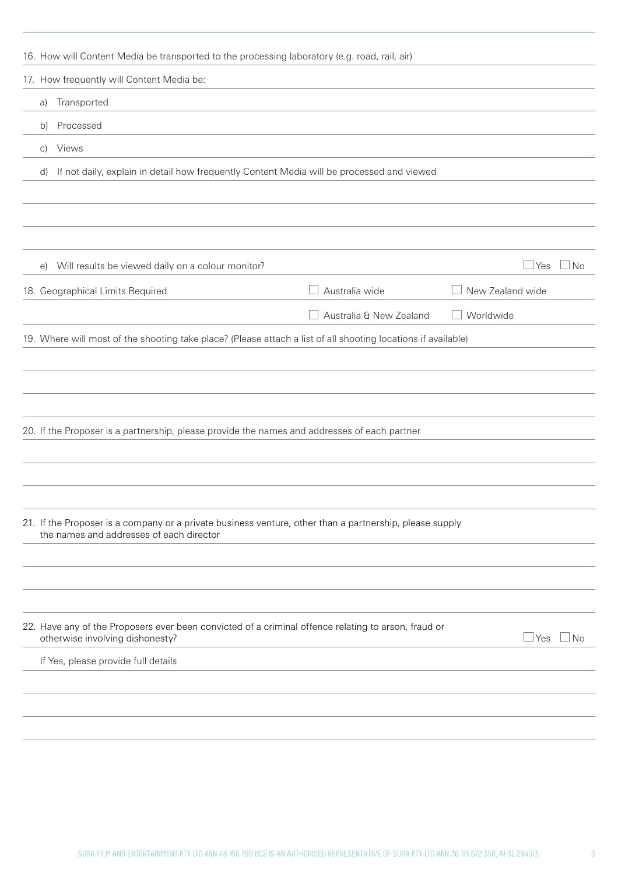| 16. How will Content Media be transported to the processing laboratory (e.g. road, rail, air)                                                       |                                          |                           |
|-----------------------------------------------------------------------------------------------------------------------------------------------------|------------------------------------------|---------------------------|
| 17. How frequently will Content Media be:                                                                                                           |                                          |                           |
| Transported<br>a)                                                                                                                                   |                                          |                           |
| Processed<br>b)                                                                                                                                     |                                          |                           |
| Views<br>$\mathcal{C}$                                                                                                                              |                                          |                           |
| If not daily, explain in detail how frequently Content Media will be processed and viewed<br>d)                                                     |                                          |                           |
|                                                                                                                                                     |                                          |                           |
|                                                                                                                                                     |                                          |                           |
|                                                                                                                                                     |                                          |                           |
| Will results be viewed daily on a colour monitor?<br>$\Theta$                                                                                       |                                          | ⊥Yes<br>l No              |
| 18. Geographical Limits Required                                                                                                                    | Australia wide                           | New Zealand wide          |
|                                                                                                                                                     | Australia & New Zealand<br>$\mathcal{L}$ | Worldwide                 |
| 19. Where will most of the shooting take place? (Please attach a list of all shooting locations if available)                                       |                                          |                           |
|                                                                                                                                                     |                                          |                           |
|                                                                                                                                                     |                                          |                           |
|                                                                                                                                                     |                                          |                           |
| 20. If the Proposer is a partnership, please provide the names and addresses of each partner                                                        |                                          |                           |
|                                                                                                                                                     |                                          |                           |
|                                                                                                                                                     |                                          |                           |
|                                                                                                                                                     |                                          |                           |
| 21. If the Proposer is a company or a private business venture, other than a partnership, please supply<br>the names and addresses of each director |                                          |                           |
|                                                                                                                                                     |                                          |                           |
|                                                                                                                                                     |                                          |                           |
|                                                                                                                                                     |                                          |                           |
| 22. Have any of the Proposers ever been convicted of a criminal offence relating to arson, fraud or<br>otherwise involving dishonesty?              |                                          | $\sqcup$ Yes<br>$\Box$ No |
| If Yes, please provide full details                                                                                                                 |                                          |                           |
|                                                                                                                                                     |                                          |                           |
|                                                                                                                                                     |                                          |                           |
|                                                                                                                                                     |                                          |                           |
|                                                                                                                                                     |                                          |                           |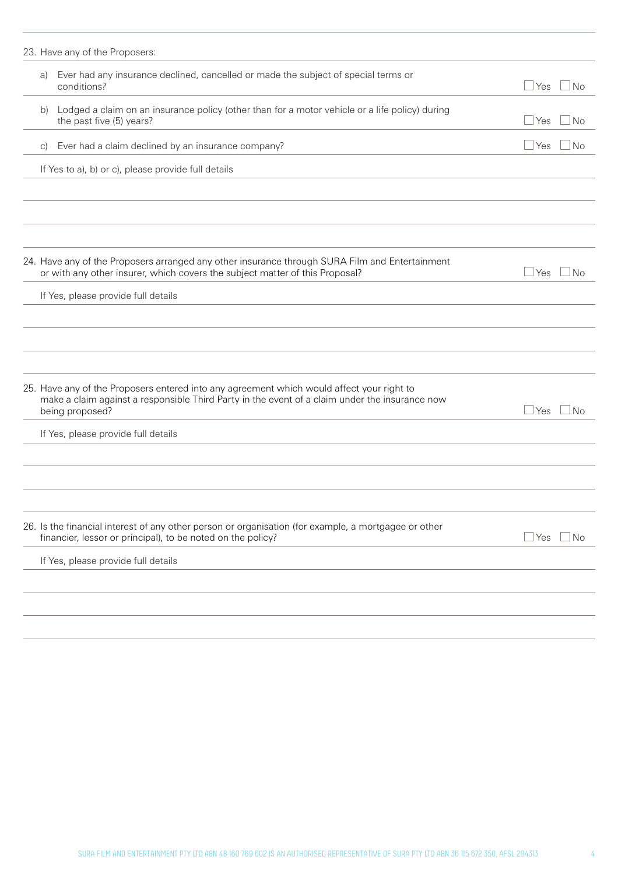|    | 23. Have any of the Proposers:                                                                                                                                                                                 |            |                    |
|----|----------------------------------------------------------------------------------------------------------------------------------------------------------------------------------------------------------------|------------|--------------------|
| a) | Ever had any insurance declined, cancelled or made the subject of special terms or<br>conditions?                                                                                                              | $\Box$ Yes | $\Box$ No          |
| b) | Lodged a claim on an insurance policy (other than for a motor vehicle or a life policy) during<br>the past five (5) years?                                                                                     | $\Box$ Yes | $\Box$ No          |
| C) | Ever had a claim declined by an insurance company?                                                                                                                                                             | $\Box$ Yes | $\Box$ No          |
|    | If Yes to a), b) or c), please provide full details                                                                                                                                                            |            |                    |
|    |                                                                                                                                                                                                                |            |                    |
|    |                                                                                                                                                                                                                |            |                    |
|    | 24. Have any of the Proposers arranged any other insurance through SURA Film and Entertainment<br>or with any other insurer, which covers the subject matter of this Proposal?                                 | $\Box$ Yes | $\vert$ $\vert$ No |
|    | If Yes, please provide full details                                                                                                                                                                            |            |                    |
|    |                                                                                                                                                                                                                |            |                    |
|    |                                                                                                                                                                                                                |            |                    |
|    |                                                                                                                                                                                                                |            |                    |
|    | 25. Have any of the Proposers entered into any agreement which would affect your right to<br>make a claim against a responsible Third Party in the event of a claim under the insurance now<br>being proposed? | Yes        | No                 |
|    | If Yes, please provide full details                                                                                                                                                                            |            |                    |
|    |                                                                                                                                                                                                                |            |                    |
|    |                                                                                                                                                                                                                |            |                    |
|    |                                                                                                                                                                                                                |            |                    |
|    | 26. Is the financial interest of any other person or organisation (for example, a mortgagee or other<br>financier, lessor or principal), to be noted on the policy?                                            | $\Box$ Yes | $\Box$ No          |
|    | If Yes, please provide full details                                                                                                                                                                            |            |                    |
|    |                                                                                                                                                                                                                |            |                    |
|    |                                                                                                                                                                                                                |            |                    |
|    |                                                                                                                                                                                                                |            |                    |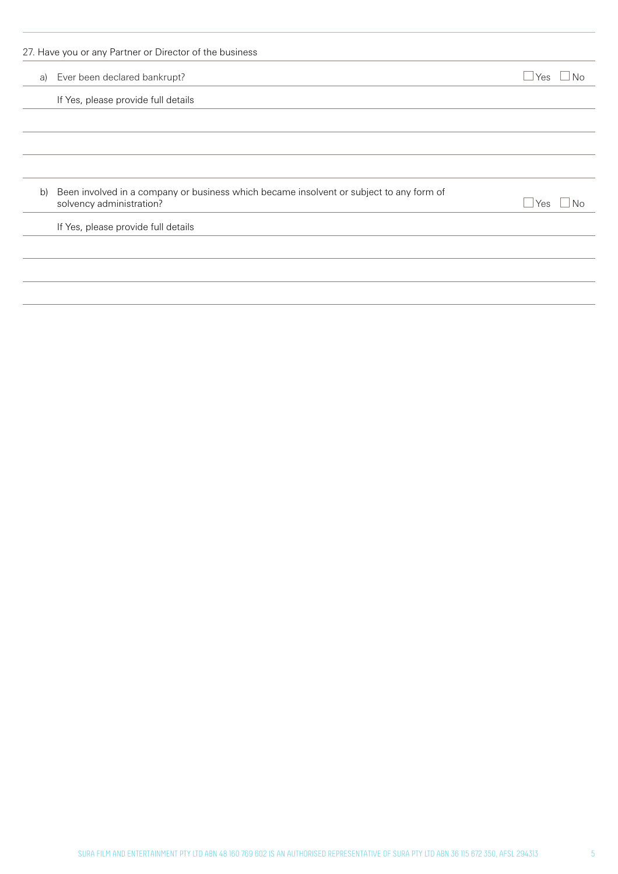| a) | 27. Have you or any Partner or Director of the business<br>Ever been declared bankrupt?                             | ⊿ Yes<br>No |
|----|---------------------------------------------------------------------------------------------------------------------|-------------|
|    | If Yes, please provide full details                                                                                 |             |
|    |                                                                                                                     |             |
|    |                                                                                                                     |             |
|    |                                                                                                                     |             |
| b) | Been involved in a company or business which became insolvent or subject to any form of<br>solvency administration? | Yes<br>No   |
|    | If Yes, please provide full details                                                                                 |             |
|    |                                                                                                                     |             |
|    |                                                                                                                     |             |